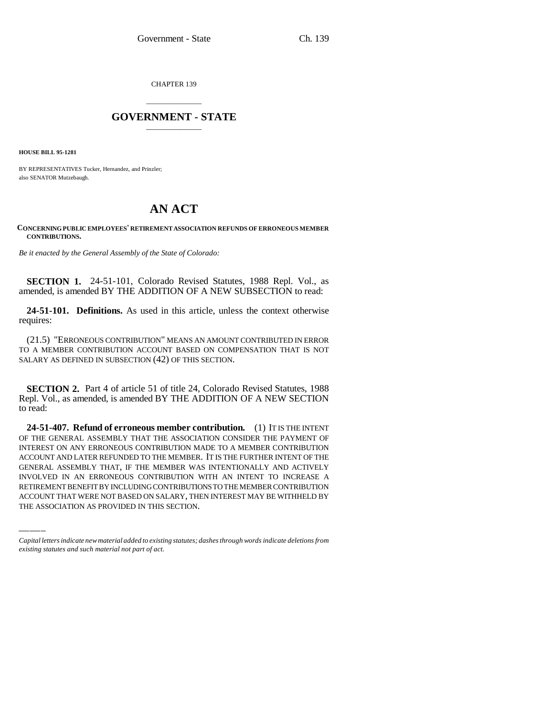CHAPTER 139

## \_\_\_\_\_\_\_\_\_\_\_\_\_\_\_ **GOVERNMENT - STATE** \_\_\_\_\_\_\_\_\_\_\_\_\_\_\_

**HOUSE BILL 95-1281**

BY REPRESENTATIVES Tucker, Hernandez, and Prinzler; also SENATOR Mutzebaugh.

## **AN ACT**

## **CONCERNING PUBLIC EMPLOYEES' RETIREMENT ASSOCIATION REFUNDS OF ERRONEOUS MEMBER CONTRIBUTIONS.**

*Be it enacted by the General Assembly of the State of Colorado:*

**SECTION 1.** 24-51-101, Colorado Revised Statutes, 1988 Repl. Vol., as amended, is amended BY THE ADDITION OF A NEW SUBSECTION to read:

**24-51-101. Definitions.** As used in this article, unless the context otherwise requires:

(21.5) "ERRONEOUS CONTRIBUTION" MEANS AN AMOUNT CONTRIBUTED IN ERROR TO A MEMBER CONTRIBUTION ACCOUNT BASED ON COMPENSATION THAT IS NOT SALARY AS DEFINED IN SUBSECTION (42) OF THIS SECTION.

**SECTION 2.** Part 4 of article 51 of title 24, Colorado Revised Statutes, 1988 Repl. Vol., as amended, is amended BY THE ADDITION OF A NEW SECTION to read:

GENERAL ASSEMBLY THAT, IF THE MEMBER WAS INTENTIONALLY AND ACTIVELY **24-51-407. Refund of erroneous member contribution.** (1) IT IS THE INTENT OF THE GENERAL ASSEMBLY THAT THE ASSOCIATION CONSIDER THE PAYMENT OF INTEREST ON ANY ERRONEOUS CONTRIBUTION MADE TO A MEMBER CONTRIBUTION ACCOUNT AND LATER REFUNDED TO THE MEMBER. IT IS THE FURTHER INTENT OF THE INVOLVED IN AN ERRONEOUS CONTRIBUTION WITH AN INTENT TO INCREASE A RETIREMENT BENEFIT BY INCLUDING CONTRIBUTIONS TO THE MEMBER CONTRIBUTION ACCOUNT THAT WERE NOT BASED ON SALARY, THEN INTEREST MAY BE WITHHELD BY THE ASSOCIATION AS PROVIDED IN THIS SECTION.

*Capital letters indicate new material added to existing statutes; dashes through words indicate deletions from existing statutes and such material not part of act.*